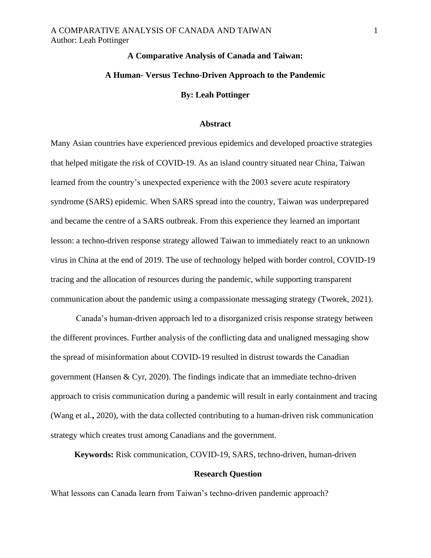# **A Comparative Analysis of Canada and Taiwan:**

# **A Human- Versus Techno-Driven Approach to the Pandemic**

## **By: Leah Pottinger**

# **Abstract**

Many Asian countries have experienced previous epidemics and developed proactive strategies that helped mitigate the risk of COVID-19. As an island country situated near China, Taiwan learned from the country's unexpected experience with the 2003 severe acute respiratory syndrome (SARS) epidemic. When SARS spread into the country, Taiwan was underprepared and became the centre of a SARS outbreak. From this experience they learned an important lesson: a techno-driven response strategy allowed Taiwan to immediately react to an unknown virus in China at the end of 2019. The use of technology helped with border control, COVID-19 tracing and the allocation of resources during the pandemic, while supporting transparent communication about the pandemic using a compassionate messaging strategy (Tworek, 2021).

Canada's human-driven approach led to a disorganized crisis response strategy between the different provinces. Further analysis of the conflicting data and unaligned messaging show the spread of misinformation about COVID-19 resulted in distrust towards the Canadian government (Hansen & Cyr, 2020). The findings indicate that an immediate techno-driven approach to crisis communication during a pandemic will result in early containment and tracing (Wang et al.**,** 2020), with the data collected contributing to a human-driven risk communication strategy which creates trust among Canadians and the government.

**Keywords:** Risk communication, COVID-19, SARS, techno-driven, human-driven

## **Research Question**

What lessons can Canada learn from Taiwan's techno-driven pandemic approach?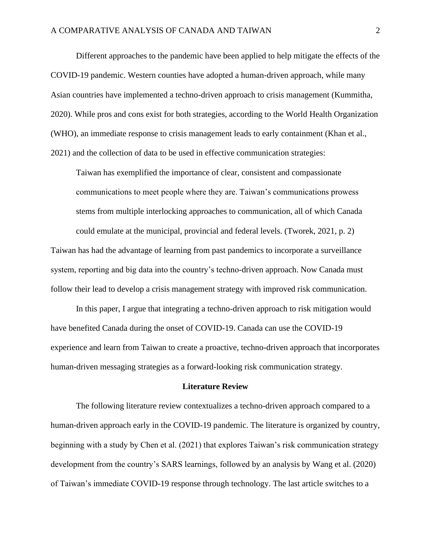Different approaches to the pandemic have been applied to help mitigate the effects of the COVID-19 pandemic. Western counties have adopted a human-driven approach, while many Asian countries have implemented a techno-driven approach to crisis management (Kummitha, 2020). While pros and cons exist for both strategies, according to the World Health Organization (WHO), an immediate response to crisis management leads to early containment (Khan et al., 2021) and the collection of data to be used in effective communication strategies:

Taiwan has exemplified the importance of clear, consistent and compassionate communications to meet people where they are. Taiwan's communications prowess stems from multiple interlocking approaches to communication, all of which Canada could emulate at the municipal, provincial and federal levels. (Tworek, 2021, p. 2)

Taiwan has had the advantage of learning from past pandemics to incorporate a surveillance system, reporting and big data into the country's techno-driven approach. Now Canada must follow their lead to develop a crisis management strategy with improved risk communication.

In this paper, I argue that integrating a techno-driven approach to risk mitigation would have benefited Canada during the onset of COVID-19. Canada can use the COVID-19 experience and learn from Taiwan to create a proactive, techno-driven approach that incorporates human-driven messaging strategies as a forward-looking risk communication strategy.

## **Literature Review**

The following literature review contextualizes a techno-driven approach compared to a human-driven approach early in the COVID-19 pandemic. The literature is organized by country, beginning with a study by Chen et al. (2021) that explores Taiwan's risk communication strategy development from the country's SARS learnings, followed by an analysis by Wang et al. (2020) of Taiwan's immediate COVID-19 response through technology. The last article switches to a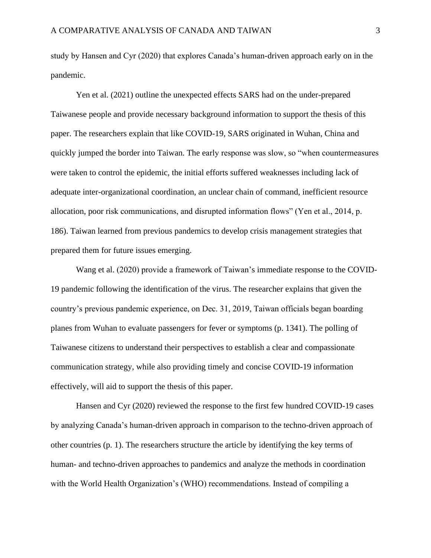study by Hansen and Cyr (2020) that explores Canada's human-driven approach early on in the pandemic.

Yen et al. (2021) outline the unexpected effects SARS had on the under-prepared Taiwanese people and provide necessary background information to support the thesis of this paper. The researchers explain that like COVID-19, SARS originated in Wuhan, China and quickly jumped the border into Taiwan. The early response was slow, so "when countermeasures were taken to control the epidemic, the initial efforts suffered weaknesses including lack of adequate inter-organizational coordination, an unclear chain of command, inefficient resource allocation, poor risk communications, and disrupted information flows" (Yen et al., 2014, p. 186). Taiwan learned from previous pandemics to develop crisis management strategies that prepared them for future issues emerging.

Wang et al. (2020) provide a framework of Taiwan's immediate response to the COVID-19 pandemic following the identification of the virus. The researcher explains that given the country's previous pandemic experience, on Dec. 31, 2019, Taiwan officials began boarding planes from Wuhan to evaluate passengers for fever or symptoms (p. 1341). The polling of Taiwanese citizens to understand their perspectives to establish a clear and compassionate communication strategy, while also providing timely and concise COVID-19 information effectively, will aid to support the thesis of this paper.

Hansen and Cyr (2020) reviewed the response to the first few hundred COVID-19 cases by analyzing Canada's human-driven approach in comparison to the techno-driven approach of other countries (p. 1). The researchers structure the article by identifying the key terms of human- and techno-driven approaches to pandemics and analyze the methods in coordination with the World Health Organization's (WHO) recommendations. Instead of compiling a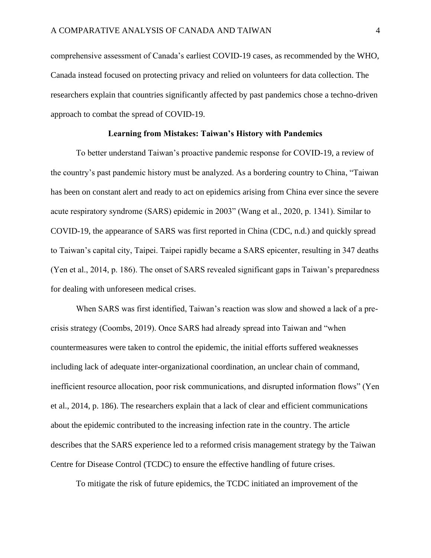comprehensive assessment of Canada's earliest COVID-19 cases, as recommended by the WHO, Canada instead focused on protecting privacy and relied on volunteers for data collection. The researchers explain that countries significantly affected by past pandemics chose a techno-driven approach to combat the spread of COVID-19.

#### **Learning from Mistakes: Taiwan's History with Pandemics**

To better understand Taiwan's proactive pandemic response for COVID-19, a review of the country's past pandemic history must be analyzed. As a bordering country to China, "Taiwan has been on constant alert and ready to act on epidemics arising from China ever since the severe acute respiratory syndrome (SARS) epidemic in 2003" (Wang et al., 2020, p. 1341). Similar to COVID-19, the appearance of SARS was first reported in China (CDC, n.d.) and quickly spread to Taiwan's capital city, Taipei. Taipei rapidly became a SARS epicenter, resulting in 347 deaths (Yen et al., 2014, p. 186). The onset of SARS revealed significant gaps in Taiwan's preparedness for dealing with unforeseen medical crises.

When SARS was first identified, Taiwan's reaction was slow and showed a lack of a precrisis strategy (Coombs, 2019). Once SARS had already spread into Taiwan and "when countermeasures were taken to control the epidemic, the initial efforts suffered weaknesses including lack of adequate inter-organizational coordination, an unclear chain of command, inefficient resource allocation, poor risk communications, and disrupted information flows" (Yen et al., 2014, p. 186). The researchers explain that a lack of clear and efficient communications about the epidemic contributed to the increasing infection rate in the country. The article describes that the SARS experience led to a reformed crisis management strategy by the Taiwan Centre for Disease Control (TCDC) to ensure the effective handling of future crises.

To mitigate the risk of future epidemics, the TCDC initiated an improvement of the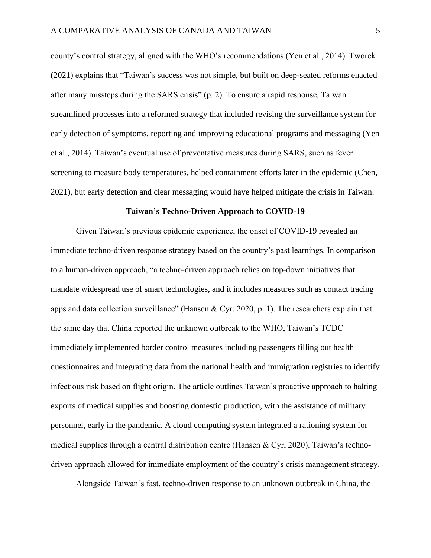county's control strategy, aligned with the WHO's recommendations (Yen et al., 2014). Tworek (2021) explains that "Taiwan's success was not simple, but built on deep-seated reforms enacted after many missteps during the SARS crisis" (p. 2). To ensure a rapid response, Taiwan streamlined processes into a reformed strategy that included revising the surveillance system for early detection of symptoms, reporting and improving educational programs and messaging (Yen et al., 2014). Taiwan's eventual use of preventative measures during SARS, such as fever screening to measure body temperatures, helped containment efforts later in the epidemic (Chen, 2021), but early detection and clear messaging would have helped mitigate the crisis in Taiwan.

#### **Taiwan's Techno-Driven Approach to COVID-19**

Given Taiwan's previous epidemic experience, the onset of COVID-19 revealed an immediate techno-driven response strategy based on the country's past learnings. In comparison to a human-driven approach, "a techno-driven approach relies on top-down initiatives that mandate widespread use of smart technologies, and it includes measures such as contact tracing apps and data collection surveillance" (Hansen & Cyr, 2020, p. 1). The researchers explain that the same day that China reported the unknown outbreak to the WHO, Taiwan's TCDC immediately implemented border control measures including passengers filling out health questionnaires and integrating data from the national health and immigration registries to identify infectious risk based on flight origin. The article outlines Taiwan's proactive approach to halting exports of medical supplies and boosting domestic production, with the assistance of military personnel, early in the pandemic. A cloud computing system integrated a rationing system for medical supplies through a central distribution centre (Hansen & Cyr, 2020). Taiwan's technodriven approach allowed for immediate employment of the country's crisis management strategy.

Alongside Taiwan's fast, techno-driven response to an unknown outbreak in China, the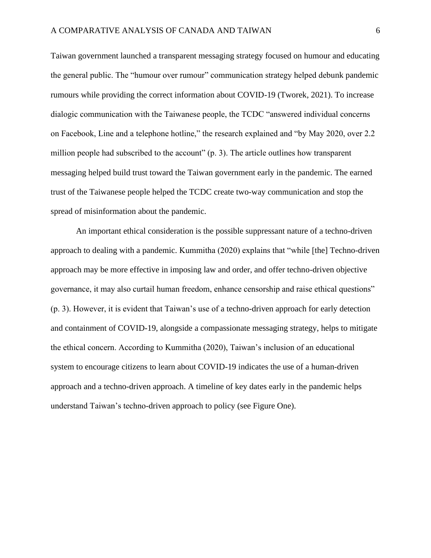Taiwan government launched a transparent messaging strategy focused on humour and educating the general public. The "humour over rumour" communication strategy helped debunk pandemic rumours while providing the correct information about COVID-19 (Tworek, 2021). To increase dialogic communication with the Taiwanese people, the TCDC "answered individual concerns on Facebook, Line and a telephone hotline," the research explained and "by May 2020, over 2.2 million people had subscribed to the account" (p. 3). The article outlines how transparent messaging helped build trust toward the Taiwan government early in the pandemic. The earned trust of the Taiwanese people helped the TCDC create two-way communication and stop the spread of misinformation about the pandemic.

An important ethical consideration is the possible suppressant nature of a techno-driven approach to dealing with a pandemic. Kummitha (2020) explains that "while [the] Techno-driven approach may be more effective in imposing law and order, and offer techno-driven objective governance, it may also curtail human freedom, enhance censorship and raise ethical questions" (p. 3). However, it is evident that Taiwan's use of a techno-driven approach for early detection and containment of COVID-19, alongside a compassionate messaging strategy, helps to mitigate the ethical concern. According to Kummitha (2020), Taiwan's inclusion of an educational system to encourage citizens to learn about COVID-19 indicates the use of a human-driven approach and a techno-driven approach. A timeline of key dates early in the pandemic helps understand Taiwan's techno-driven approach to policy (see Figure One).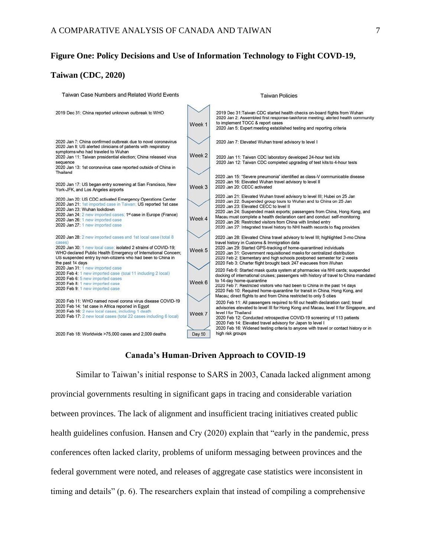## **Figure One: Policy Decisions and Use of Information Technology to Fight COVD-19,**

# **Taiwan (CDC, 2020)**



## **Canada's Human-Driven Approach to COVID-19**

Similar to Taiwan's initial response to SARS in 2003, Canada lacked alignment among provincial governments resulting in significant gaps in tracing and considerable variation between provinces. The lack of alignment and insufficient tracing initiatives created public health guidelines confusion. Hansen and Cry (2020) explain that "early in the pandemic, press conferences often lacked clarity, problems of uniform messaging between provinces and the federal government were noted, and releases of aggregate case statistics were inconsistent in timing and details" (p. 6). The researchers explain that instead of compiling a comprehensive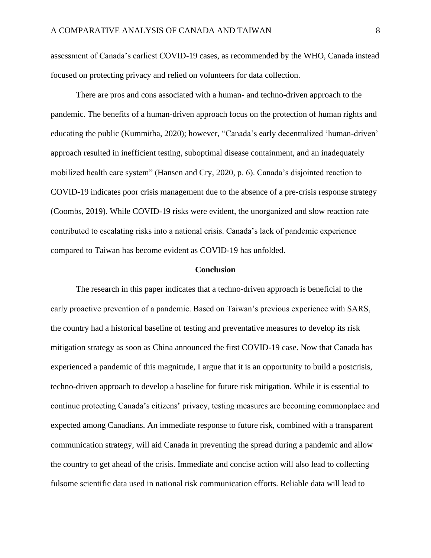assessment of Canada's earliest COVID-19 cases, as recommended by the WHO, Canada instead focused on protecting privacy and relied on volunteers for data collection.

There are pros and cons associated with a human- and techno-driven approach to the pandemic. The benefits of a human-driven approach focus on the protection of human rights and educating the public (Kummitha, 2020); however, "Canada's early decentralized 'human-driven' approach resulted in inefficient testing, suboptimal disease containment, and an inadequately mobilized health care system" (Hansen and Cry, 2020, p. 6). Canada's disjointed reaction to COVID-19 indicates poor crisis management due to the absence of a pre-crisis response strategy (Coombs, 2019). While COVID-19 risks were evident, the unorganized and slow reaction rate contributed to escalating risks into a national crisis. Canada's lack of pandemic experience compared to Taiwan has become evident as COVID-19 has unfolded.

#### **Conclusion**

The research in this paper indicates that a techno-driven approach is beneficial to the early proactive prevention of a pandemic. Based on Taiwan's previous experience with SARS, the country had a historical baseline of testing and preventative measures to develop its risk mitigation strategy as soon as China announced the first COVID-19 case. Now that Canada has experienced a pandemic of this magnitude, I argue that it is an opportunity to build a postcrisis, techno-driven approach to develop a baseline for future risk mitigation. While it is essential to continue protecting Canada's citizens' privacy, testing measures are becoming commonplace and expected among Canadians. An immediate response to future risk, combined with a transparent communication strategy, will aid Canada in preventing the spread during a pandemic and allow the country to get ahead of the crisis. Immediate and concise action will also lead to collecting fulsome scientific data used in national risk communication efforts. Reliable data will lead to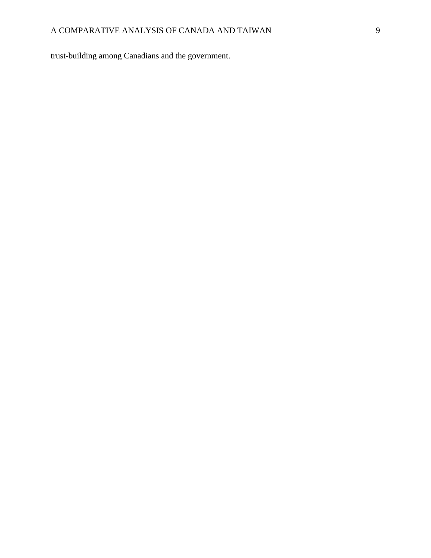trust-building among Canadians and the government.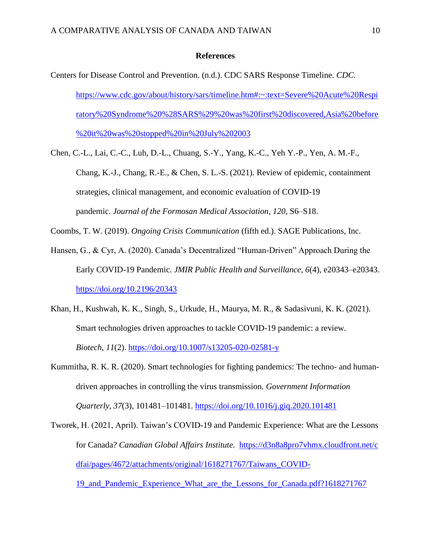## **References**

- Centers for Disease Control and Prevention. (n.d.). CDC SARS Response Timeline. *CDC.*  [https://www.cdc.gov/about/history/sars/timeline.htm#:~:text=Severe%20Acute%20Respi](https://www.cdc.gov/about/history/sars/timeline.htm#:~:text=Severe%20Acute%20Respiratory%20Syndrome%20%28SARS%29%20was%20first%20discovered,Asia%20before%20it%20was%20stopped%20in%20July%202003.) [ratory%20Syndrome%20%28SARS%29%20was%20first%20discovered,Asia%20before](https://www.cdc.gov/about/history/sars/timeline.htm#:~:text=Severe%20Acute%20Respiratory%20Syndrome%20%28SARS%29%20was%20first%20discovered,Asia%20before%20it%20was%20stopped%20in%20July%202003.) [%20it%20was%20stopped%20in%20July%202003](https://www.cdc.gov/about/history/sars/timeline.htm#:~:text=Severe%20Acute%20Respiratory%20Syndrome%20%28SARS%29%20was%20first%20discovered,Asia%20before%20it%20was%20stopped%20in%20July%202003.)
- Chen, C.-L., Lai, C.-C., Luh, D.-L., Chuang, S.-Y., Yang, K.-C., Yeh Y.-P., Yen, A. M.-F., Chang, K.-J., Chang, R.-E., & Chen, S. L.-S. (2021). Review of epidemic, containment strategies, clinical management, and economic evaluation of COVID-19 pandemic. *Journal of the Formosan Medical Association*, *120*, S6–S18.

Coombs, T. W. (2019). *Ongoing Crisis Communication* (fifth ed.). SAGE Publications, Inc.

- Hansen, G., & Cyr, A. (2020). Canada's Decentralized "Human-Driven" Approach During the Early COVID-19 Pandemic. *JMIR Public Health and Surveillance*, *6*(4), e20343–e20343. <https://doi.org/10.2196/20343>
- Khan, H., Kushwah, K. K., Singh, S., Urkude, H., Maurya, M. R., & Sadasivuni, K. K. (2021). Smart technologies driven approaches to tackle COVID-19 pandemic: a review. *Biotech*, *11*(2).<https://doi.org/10.1007/s13205-020-02581-y>
- Kummitha, R. K. R. (2020). Smart technologies for fighting pandemics: The techno- and humandriven approaches in controlling the virus transmission. *Government Information Quarterly*, *37*(3), 101481–101481. <https://doi.org/10.1016/j.giq.2020.101481>
- Tworek, H. (2021, April). Taiwan's COVID-19 and Pandemic Experience: What are the Lessons for Canada? *Canadian Global Affairs Institute.* [https://d3n8a8pro7vhmx.cloudfront.net/c](https://d3n8a8pro7vhmx.cloudfront.net/cdfai/pages/4672/attachments/original/1618271767/Taiwans_COVID19_and_Pandemic_Experience_What_are_the_Lessons_for_Canada.pdf?1618271767) [dfai/pages/4672/attachments/original/1618271767/Taiwans\\_COVID-](https://d3n8a8pro7vhmx.cloudfront.net/cdfai/pages/4672/attachments/original/1618271767/Taiwans_COVID19_and_Pandemic_Experience_What_are_the_Lessons_for_Canada.pdf?1618271767)

[19\\_and\\_Pandemic\\_Experience\\_What\\_are\\_the\\_Lessons\\_for\\_Canada.pdf?1618271767](https://d3n8a8pro7vhmx.cloudfront.net/cdfai/pages/4672/attachments/original/1618271767/Taiwans_COVID19_and_Pandemic_Experience_What_are_the_Lessons_for_Canada.pdf?1618271767)